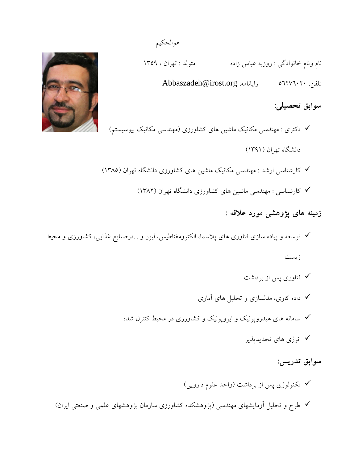نام ونام خانوادگی : روزبه عباس زاده متولد : تهران ، 1359

Abbaszadeh@irost.org :رايانامه ج Abbaszadeh@irost.org

**سوابق تحصيلي:** 

 دکتری : مهندسی مکانیک ماشین های کشاورزی )مهندسی مکانیک بیوسیستم( دانشگاه تهران )1391( کارشناسی ارشد : مهندسی مکانیک ماشین های کشاورزی دانشگاه تهران )1385(

کارشناسی : مهندسی ماشین های کشاورزی دانشگاه تهران )1382(

**زمينه های پژوهشي مورد عالقه :**

 توسعه و پیاده سازی فناوری های پالسما، الکترومغناطیس، لیزر و ...درصنايع غذايی، کشاورزی و محیط زيست فناوری پس از برداشت

- داده کاوی، مدلسازی و تحلیل های آماری
- سامانه های هیدروپونیک و ايروپونیک و کشاورزی در محیط کنترل شده
	- انرژی های تجديدپذير

**سوابق تدریس:**

 تکنولوژی پس از برداشت )واحد علوم دارويی( طرح و تحلیل آزمايشهای مهندسی )پژوهشکده کشاورزی سازمان پژوهشهای علمی و صنعتی ايران(



هوالحکیم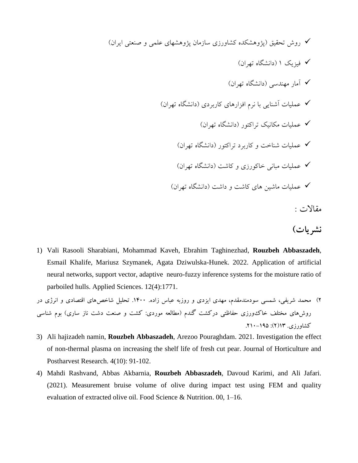روش تحقیق )پژوهشکده کشاورزی سازمان پژوهشهای علمی و صنعتی ايران( فیزيک 1 )دانشگاه تهران( آمار مهندسی )دانشگاه تهران( عملیات آشنايی با نرم افزارهای کاربردی )دانشگاه تهران( عملیات مکانیک تراکتور )دانشگاه تهران( عملیات شناخت و کاربرد تراکتور )دانشگاه تهران( عملیات مبانی خاکورزی و کاشت )دانشگاه تهران( عملیات ماشین های کاشت و داشت )دانشگاه تهران( مقاالت :

- **نشریات(**
- 1) Vali Rasooli Sharabiani, Mohammad Kaveh, Ebrahim Taghinezhad, **Rouzbeh Abbaszadeh**, Esmail Khalife, Mariusz Szymanek, Agata Dziwulska-Hunek. 2022. Application of artificial neural networks, support vector, adaptive neuro-fuzzy inference systems for the moisture ratio of parboiled hulls. Applied Sciences. 12(4):1771.

2( محمد شریفی، شمسی سودمندمقدم، مهدی ایزدی و روزبه عباس زاده. .1400 تحلیل شاخصهای اقتصادی و انرژی در روشهای مختلف خاک $\ell$ ورزی حفاظتی درکشت گندم (مطالعه موردی: کشت و صنعت دشت ناز ساری) بوم شناسی  $(7)$ کشاورزی. ۱۹ $(7)$ : ۱۹۵–۲۱۰.

- 3) Ali hajizadeh namin, **Rouzbeh Abbaszadeh**, Arezoo Pouraghdam. 2021. Investigation the effect of non-thermal plasma on increasing the shelf life of fresh cut pear. Journal of Horticulture and Postharvest Research. 4(10): 91-102.
- 4) Mahdi Rashvand, Abbas Akbarnia, **Rouzbeh Abbaszadeh**, Davoud Karimi, and Ali Jafari. (2021). Measurement bruise volume of olive during impact test using FEM and quality evaluation of extracted olive oil. Food Science & Nutrition. 00, 1–16.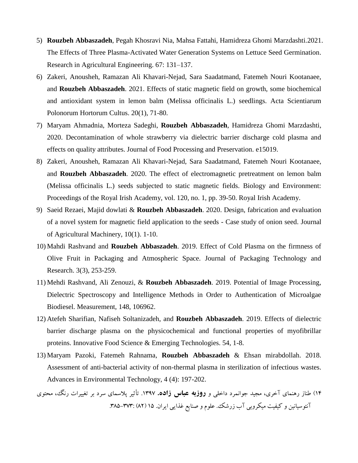- 5) **Rouzbeh Abbaszadeh**, Pegah Khosravi Nia, Mahsa Fattahi, Hamidreza Ghomi Marzdashti.2021. The Effects of Three Plasma-Activated Water Generation Systems on Lettuce Seed Germination. Research in Agricultural Engineering. 67: 131–137.
- 6) Zakeri, Anousheh, Ramazan Ali Khavari-Nejad, Sara Saadatmand, Fatemeh Nouri Kootanaee, and **Rouzbeh Abbaszadeh**. 2021. Effects of static magnetic field on growth, some biochemical and antioxidant system in lemon balm (Melissa officinalis L.) seedlings. Acta Scientiarum Polonorum Hortorum Cultus. 20(1), 71-80.
- 7) Maryam Ahmadnia, Morteza Sadeghi, **Rouzbeh Abbaszadeh**, Hamidreza Ghomi Marzdashti, 2020. Decontamination of whole strawberry via dielectric barrier discharge cold plasma and effects on quality attributes. Journal of Food Processing and Preservation. e15019.
- 8) Zakeri, Anousheh, Ramazan Ali Khavari-Nejad, Sara Saadatmand, Fatemeh Nouri Kootanaee, and **Rouzbeh Abbaszadeh**. 2020. The effect of electromagnetic pretreatment on lemon balm (Melissa officinalis L.) seeds subjected to static magnetic fields. Biology and Environment: Proceedings of the Royal Irish Academy, vol. 120, no. 1, pp. 39-50. Royal Irish Academy.
- 9) Saeid Rezaei, Majid dowlati & **Rouzbeh Abbaszadeh**. 2020. Design, fabrication and evaluation of a novel system for magnetic field application to the seeds - Case study of onion seed. Journal of Agricultural Machinery, 10(1). 1-10.
- 10) Mahdi Rashvand and **Rouzbeh Abbaszadeh**. 2019. Effect of Cold Plasma on the firmness of Olive Fruit in Packaging and Atmospheric Space. Journal of Packaging Technology and Research. 3(3), 253-259.
- 11) Mehdi Rashvand, Ali Zenouzi, & **Rouzbeh Abbaszadeh**. 2019. Potential of Image Processing, Dielectric Spectroscopy and Intelligence Methods in Order to Authentication of Microalgae Biodiesel. Measurement, 148, 106962.
- 12) Atefeh Sharifian, Nafiseh Soltanizadeh, and **Rouzbeh Abbaszadeh**. 2019. Effects of dielectric barrier discharge plasma on the physicochemical and functional properties of myofibrillar proteins. Innovative Food Science & Emerging Technologies. 54, 1-8.
- 13) Maryam Pazoki, Fatemeh Rahnama, **Rouzbeh Abbaszadeh** & Ehsan mirabdollah. 2018. Assessment of anti-bacterial activity of non-thermal plasma in sterilization of infectious wastes. Advances in Environmental Technology, 4 (4): 197-202.
- 14( طناز رهنمای آخری، مجید جوانمرد داخلی و **روزبه عباس زاده.** .1397 تأثیر پالسمای سرد بر تغییرات رنگ، محتوی آنتوسیانین و کیفیت میکروبی آب زرشک. علوم و صنایع غذایی ایران. 15 )۸2( .3۸5-373: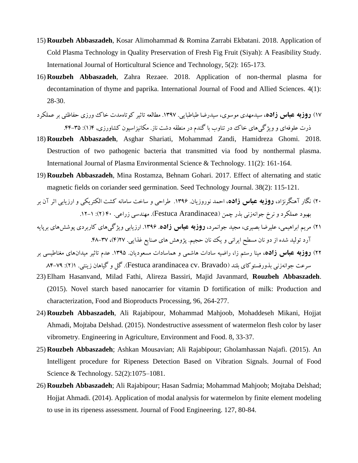- 15) **Rouzbeh Abbaszadeh**, Kosar Alimohammad & Romina Zarrabi Ekbatani. 2018. Application of Cold Plasma Technology in Quality Preservation of Fresh Fig Fruit (Siyah): A Feasibility Study. International Journal of Horticultural Science and Technology, 5(2): 165-173.
- 16) **Rouzbeh Abbaszadeh**, Zahra Rezaee. 2018. Application of non-thermal plasma for decontamination of thyme and paprika. International Journal of Food and Allied Sciences. 4(1): 28-30.
- 17( **روزبه عباس زاده**، سیدمهدی موسوی، سیدرضا طباطبایی. .1397 مطالعه تاثیر کوتاهمدت خاک ورزی حفاظتی بر عملکرد ذرت علوفهای و ویژگیهای خاک در تناوب با گندم در منطقه دشت ناز. مکانیزاسیون کشاورزی, ۱۴(۱): ۳۵-۴۴.
- 18) **Rouzbeh Abbaszadeh**, Asghar Shariati, Mohammad Zandi, Hamidreza Ghomi. 2018. Destruction of two pathogenic bacteria that transmitted via food by nonthermal plasma. International Journal of Plasma Environmental Science & Technology. 11(2): 161-164.
- 19) **Rouzbeh Abbaszadeh**, Mina Rostamza, Behnam Gohari. 2017. Effect of alternating and static magnetic fields on coriander seed germination. Seed Technology Journal. 38(2): 115-121.

20( نگار آهنگرنژاد، **روزبه عباس زاده**، احمد نوروزیان. .1396 طراحی و ساخت سامانه کشت الکتریکی و ارزیابی اثر آن بر بهبود عملکرد و نرخ جوانهزنی بذر چمن )Arandinacea Festuca). مهندسی زراعی. 40 )2(: .12-1

- 21( مریم ابراهیمی، علیرضا بصیری، مجید جوانمرد، **روزبه عباس زاده**. .1396 ارزیابی ویژگیهای کاربردی پوششهای برپایه آرد تولید شده از دو نان مسطح ایرانی و یک نان حجیم. پژوهش های صنایع غذایی. ۲۷(۴)، ۳۷–۴۸.
- 22( **روزبه عباس زاده**، مینا رستم زا، راضیه سادات هاشمی و هماسادات مسعودیان. .1395 عدم تاثیر میدانهای مغناطیسی بر سرعت جوانهزنی بذورفستوکای بلند (Festuca arandinacea cv. Bravado). گل و گیاهان زینتی. ۲۱): ۷۹–۸۴
- 23) Elham Hasanvand, Milad Fathi, Alireza Bassiri, Majid Javanmard, **Rouzbeh Abbaszadeh**. (2015). Novel starch based nanocarrier for vitamin D fortification of milk: Production and characterization, Food and Bioproducts Processing, 96, 264-277.
- 24) **Rouzbeh Abbaszadeh**, Ali Rajabipour, Mohammad Mahjoob, Mohaddeseh Mikani, Hojjat Ahmadi, Mojtaba Delshad. (2015). Nondestructive assessment of watermelon flesh color by laser vibrometry. Engineering in Agriculture, Environment and Food. 8, 33-37.
- 25) **Rouzbeh Abbaszadeh**; Ashkan Mousavian; Ali Rajabipour; Gholamhassan Najafi. (2015). An Intelligent procedure for Ripeness Detection Based on Vibration Signals. Journal of Food Science & Technology. 52(2):1075–1081.
- 26) **Rouzbeh Abbaszadeh**; Ali Rajabipour; Hasan Sadrnia; Mohammad Mahjoob; Mojtaba Delshad; Hojjat Ahmadi. (2014). Application of modal analysis for watermelon by finite element modeling to use in its ripeness assessment. Journal of Food Engineering. 127, 80-84.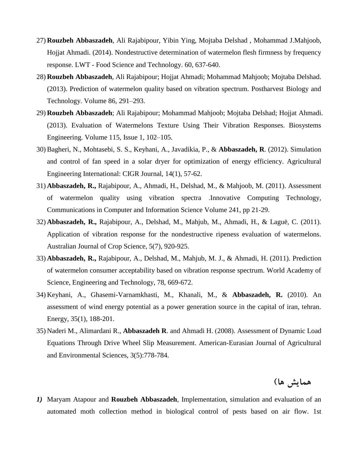- 27) **Rouzbeh Abbaszadeh**, Ali Rajabipour, Yibin Ying, Mojtaba Delshad , Mohammad J.Mahjoob, Hojjat Ahmadi. (2014). Nondestructive determination of watermelon flesh firmness by frequency response. LWT - Food Science and Technology. 60, 637-640.
- 28) **Rouzbeh Abbaszadeh**, Ali Rajabipour; Hojjat Ahmadi; Mohammad Mahjoob; Mojtaba Delshad. (2013). Prediction of watermelon quality based on vibration spectrum. Postharvest Biology and Technology. [Volume 86,](http://www.sciencedirect.com/science/journal/09255214/86/supp/C) 291–293.
- 29) **Rouzbeh Abbaszadeh**; Ali Rajabipour; Mohammad Mahjoob; Mojtaba Delshad; Hojjat Ahmadi. (2013). Evaluation of Watermelons Texture Using Their Vibration Responses. Biosystems Engineering. [Volume 115, Issue 1,](http://www.sciencedirect.com/science/journal/15375110/115/1) 102–105.
- 30) Bagheri, N., Mohtasebi, S. S., Keyhani, A., Javadikia, P., & **Abbaszadeh, R**. (2012). Simulation and control of fan speed in a solar dryer for optimization of energy efficiency. Agricultural Engineering International: CIGR Journal, 14(1), 57-62.
- 31) **Abbaszadeh, R.,** Rajabipour, A., Ahmadi, H., Delshad, M., & Mahjoob, M. (2011). Assessment of watermelon quality using vibration spectr[a .Innovative Computing Technology,](http://link.springer.com/book/10.1007/978-3-642-27337-7) [Communications in Computer and Information Science](http://link.springer.com/bookseries/7899) Volume 241, pp 21-29.
- 32) **Abbaszadeh, R.,** Rajabipour, A., Delshad, M., Mahjub, M., Ahmadi, H., & Laguë, C. (2011). Application of vibration response for the nondestructive ripeness evaluation of watermelons. Australian Journal of Crop Science, 5(7), 920-925.
- 33) **Abbaszadeh, R.,** Rajabipour, A., Delshad, M., Mahjub, M. J., & Ahmadi, H. (2011). Prediction of watermelon consumer acceptability based on vibration response spectrum. World Academy of Science, Engineering and Technology, 78, 669-672.
- 34) Keyhani, A., Ghasemi-Varnamkhasti, M., Khanali, M., & **Abbaszadeh, R.** (2010). An assessment of wind energy potential as a power generation source in the capital of iran, tehran. Energy, 35(1), 188-201.
- 35) Naderi M., Alimardani R., Abbaszadeh R. and Ahmadi H. (2008). Assessment of Dynamic Load Equations Through Drive Wheel Slip Measurement. American-Eurasian Journal of Agricultural and Environmental Sciences, 3(5):778-784.

**همایش ها(**

*1)* Maryam Atapour and **Rouzbeh Abbaszadeh**, Implementation, simulation and evaluation of an automated moth collection method in biological control of pests based on air flow. 1st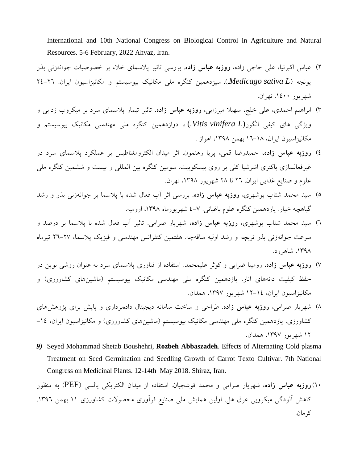International and 10th National Congress on Biological Control in Agriculture and Natural Resources. 5-6 February, 2022 Ahvaz, Iran.

- 2( عباس اکبرنیا، علی حاجی زاده، **روزبه عباس زاده**. بررسی تاثیر پالسمای خالء بر خصوصیات جوانهزنی بذر يونجه )*L sativa Medicago***.**). سیزدهمین کنگره ملی مکانیک بیوسیستم و مکانیزاسیون ايران. 24-26 شهريور .1400 تهران.
- 3( ابراهیم احمدی، علی خلج، سهیال میرزايی، **روزبه عباس زاده**. تاثیر تیمار پالسمای سرد بر میکروب زدايی و ويژگی های کیفی انگور(*L vinifera Vitis.* (**،** دوازدهمین کنگره ملی مهندسی مکانیک بیوسیستم و مکانیزاسیون ايران، 16-18 بهمن ،1398 اهواز .
- 4( **روزبه عباس زاده،** حمیدرضا قمی، پريا رهنمون. اثر میدان الکترومغناطیس بر عملکرد پالسمای سرد در غیرفعالسازی باکتری اشرشیا کلی بر روی بیسکويیت. سومین کنگره بین المللی و بیست و ششمین کنگره ملی علوم و صنايع غذايی ايران. 26 تا 28 شهريور ،1398 تهران.
- 5( سید محمد شتاب بوشهری، **روزبه عباس زاده**. بررسی اثر آب فعال شده با پالسما بر جوانهزنی بذر و رشد گیاهچه خیار. يازدهمین کنگره علوم باغبانی. 4-7 شهريورماه ،1398 ارومیه.
- 6( سید محمد شتاب بوشهری، **روزبه عباس زاده،** شهريار صرامی. تاثیر آب فعال شده با پالسما بر درصد و سرعت جوانهزنی بذر تربچه و رشد اولیه ساقهچه. هفتمین کنفرانس مهندسی و فیزيک پالسما، 26-27 تیرماه ،1398 شاهرود.
- 7( **روزبه عباس زاده**، رومینا ضرابی و کوثر علیمحمد. استفاده از فناوری پالسمای سرد به عنوان روشی نوين در حفظ کیفیت دانههای انار. یازدهمین کنگره ملی مهندسی مکانیک بیوسیستم (ماشینهای کشاورزی) و مکانیزاسیون ايران، 12-14 شهريور ،1397 همدان.
- 8( شهريار صرامی، **روزبه عباس زاده**. طراحی و ساخت سامانه ديجیتال دادهبرداری و پايش برای پژوهشهای کشاورزی. يازدهمین کنگره ملی مهندسی مکانیک بیوسیستم (ماشینهای کشاورزی) و مکانیزاسیون ایران، ۱٤– 12 شهريور ،1397 همدان.
- *9)* Seyed Mohammad Shetab Boushehri, **Rozbeh Abbaszadeh**. Effects of Alternating Cold plasma Treatment on Seed Germination and Seedling Growth of Carrot Texto Cultivar. 7th National Congress on Medicinal Plants. 12-14th May 2018. Shiraz, Iran.

10(**روزبه عباس زاده**، شهريار صرامی و محمد قوشچیان. استفاده از میدان الکتريکی پالسی )PEF )به منظور کاهش آلودگی میکروبی عرق هل. اولین همايش ملی صنايع فرآوری محصوالت کشاورزی 11 بهمن .1396 کرمان.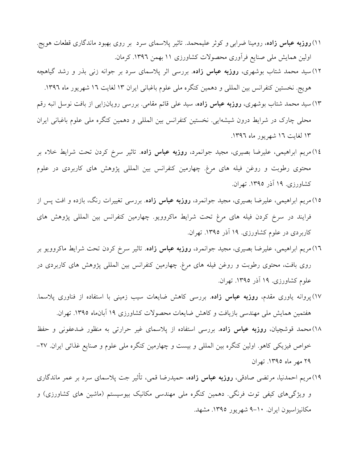- 11(**روزبه عباس زاده**، رومینا ضرابی و کوثر علیمحمد. تاثیر پالسمای سرد بر روی بهبود ماندگاری قطعات هويج. اولین همايش ملی صنايع فرآوری محصوالت کشاورزی 11 بهمن .1396 کرمان.
- 12( سید محمد شتاب بوشهری، **روزبه عباس زاده**. بررسی اثر پالسمای سرد بر جوانه زنی بذر و رشد گیاهچه هويج. نخستین کنفرانس بین المللی و دهمین کنگره ملی علوم باغبانی ايران 13 لغايت 16 شهريور ماه .1396
- 13( سید محمد شتاب بوشهری، **روزبه عباس زاده**، سید علی قائم مقامی. بررسی رويانزايی از بافت نوسل انبه رقم محلی چارک در شرايط درون شیشهايی. نخستین کنفرانس بین المللی و دهمین کنگره ملی علوم باغبانی ايران 13 لغايت 16 شهريور ماه .1396
- 14(مريم ابراهیمی، علیرضا بصیری، مجید جوانمرد، **روزبه عباس زاده**. تاثیر سرخ کردن تحت شرايط خالء بر محتوی رطوبت و روغن فیله های مرغ. چهارمین کنفرانس بین المللی پژوهش های کاربردی در علوم کشاورزی. 19 آذر .1395 تهران.
- 15(مريم ابراهیمی، علیرضا بصیری، مجید جوانمرد، **روزبه عباس زاده**. بررسی تغییرات رنگ، بازده و افت پس از فرايند در سرخ کردن فیله های مرغ تحت شرايط ماکروويو. چهارمین کنفرانس بین المللی پژوهش های کاربردی در علوم کشاورزی. ۱۹ آذر ۱۳۹۵. تهران.
- 16(مريم ابراهیمی، علیرضا بصیری، مجید جوانمرد، **روزبه عباس زاده**. تاثیر سرخ کردن تحت شرايط ماکروويو بر روی بافت، محتوی رطوبت و روغن فیله های مرغ. چهارمین کنفرانس بین المللی پژوهش های کاربردی در علوم کشاورزی. ۱۹ آذر ۱۳۹۵. تهران.
- 17(پروانه ياوری مقدم، **روزبه عباس زاده**. بررسی کاهش ضايعات سیب زمینی با استفاده از فناوری پالسما. هفتمین همايش ملی مهندسی بازيافت و کاهش ضايعات محصوالت کشاورزی 19 آبانماه .1395 تهران.
- 18(محمد قوشچیان، **روزبه عباس زاده.** بررسی استفاده از پالسمای غیر حرارتی به منظور ضدعفونی و حفظ خواص فیزيکی کاهو. اولین کنگره بین المللی و بیست و چهارمین کنگره ملی علوم و صنايع غذائی ايران. -27 29 مهر ماه .1395 تهران
- 19(مريم احمدنیا، مرتضی صادقی، **روزبه عباس زاده،** حمیدرضا قمی، تأثیر جت پالسمای سرد بر عمر ماندگاری و ویژگیهای کیفی توت فرنگی. دهمین کنگره ملی مهندسی مکانیک بیوسیستم (ماشین های کشاورزی) و مکانیزاسیون ايران. 9-10 شهريور .1395 مشهد.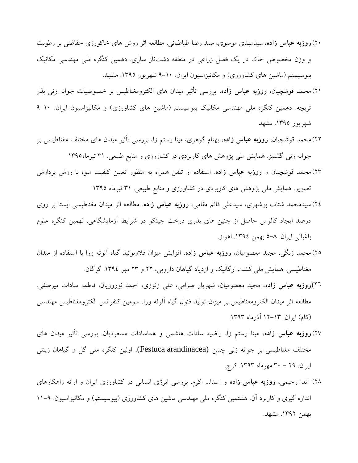- 20(**روزبه عباس زاده،** سیدمهدی موسوی، سید رضا طباطبائی. مطالعه اثر روش های خاکورزی حفاظتی بر رطوبت و وزن مخصوص خاک در يک فصل زراعی در منطقه دشتناز ساری. دهمین کنگره ملی مهندسی مکانیک بیوسیستم (ماشین های کشاورزی) و مکانیزاسیون ایران. ۱۰-۹ شهریور ۱۳۹۵. مشهد.
- 21(محمد قوشچیان، **روزبه عباس زاده.** بررسی تأثیر میدان های الکترومغناطیس بر خصوصیات جوانه زنی بذر تربچه. دهمین کنگره ملی مهندسی مکانیک بیوسیستم (ماشین های کشاورزی) و مکانیزاسیون ایران. ١٠-٩ شهريور .1395 مشهد.
- 22(محمد قوشچیان، **روزبه عباس زاده،** بهنام گوهری، مینا رستم زا، بررسی تأثیر میدان های مختلف مغناطیسی بر جوانه زنی گشنیز. همايش ملی پژوهش های کاربردی در کشاورزی و منابع طبیعی. 31 تیرماه1395
- 23(محمد قوشچیان و **روزبه عباس زاده**. استفاده از تلفن همراه به منظور تعیین کیفیت میوه با روش پردازش تصوير. همايش ملی پژوهش های کاربردی در کشاورزی و منابع طبیعی. 31 تیرماه 1395
- 24( سیدمحمد شتاب بوشهری، سیدعلی قائم مقامی، **روزبه عباس زاده.** مطالعه اثر میدان مغناطیسی ايستا بر روی درصد ايجاد کالوس حاصل از جنین های بذری درخت جینکو در شرايط آزمايشگاهی. نهمین کنگره علوم باغبانی ايران. 5-8 بهمن .1394 اهواز.
- 25(محمد زنگی، مجید معصومیان، **روزبه عباس زاده.** افزايش میزان فالونوئید گیاه آلوئه ورا با استفاده از میدان مغناطیسی. همايش ملی کشت ارگانیک و ازدياد گیاهان دارويی، 22 و 23 مهر .1394 گرگان.
- 26(**روزبه عباس زاده**، مجید معصومیان، شهريار صرامی، علی زنوزی، احمد نوروزيان، فاطمه سادات میرصفی. مطالعه اثر میدان الکترومغناطیس بر میزان تولید فنول گیاه آلوئه ورا. سومین کنفرانس الکترومغناطیس مهندسی (كام) ايران. ١٣-١٢ آذرماه ١٣٩٣.
- 27(**روزبه عباس زاده،** مینا رستم زا، راضیه سادات هاشمی و هماسادات مسعوديان. بررسی تأثیر میدان های مختلف مغناطیسی بر جوانه زنی چمن (Festuca arandinacea). اولین کنگره ملی گل و گیاهان زینتی ايران. 29 - 30 مهرماه .1393 کرج.
- 28( ندا رحیمی، **روزبه عباس زاده** و اسدا... اکرم. بررسی انرژی انسانی در کشاورزی ايران و ارائه راهکارهای اندازه گیری و کاربرد آن. هشتمین کنگره ملی مهندسی ماشین های کشاورزی (بیوسیستم) و مکانیزاسیون. ۹–۱۱ بهمن .1392 مشهد.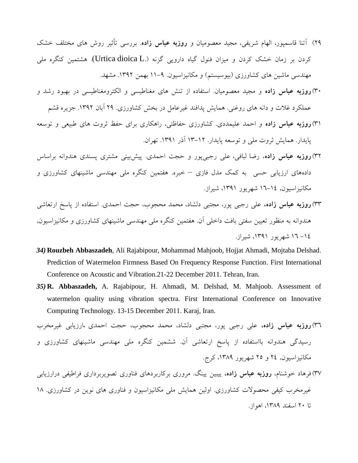- 29( آتنا قاسمپور، الهام شريفی، مجید معصومیان و **روزبه عباس زاده**. بررسی تأثیر روش های مختلف خشک کردن بر زمان خشک کردن و میزان فنول گیاه دارویی گزنه (.Urtica dioica L). هشتمین کنگره ملی مهندسی ماشین های کشاورزی (بیوسیستم) و مکانیزاسیون. ۹–۱۱ بهمن ۱۳۹۲. مشهد.
- 30(**روزبه عباس زاده** و مجید معصومیان. استفاده از تنش های مغناطیسی و الکترومغناطیسی در بهبود رشد و عملکرد غلات و دانه های روغنی. همايش پدافند غيرعامل در بخش کشاورزی. ٢٩ آبان ١٣٩٢. جزيره قشم
- 31(**روزبه عباس زاده** و احمد علیمددی. کشاورزی حفاظتی، راهکاری برای حفظ ثروت های طبیعی و توسعه پايدار. همايش ثروت ملی و توسعه پايدار. 13-12 آذر .1391 تهران.
- 32(**روزبه عباس زاده**، رضا لبافی، علی رجبیپور و حجت احمدی. پیشبینی مشتری پسندی هندوانه براساس دادههای ارزيابی حسی به کمک مدل فازی – خبره. هفتمین کنگره ملی مهندسی ماشینهای کشاورزی و مکانیزاسیون, 16-14 شهريور ،1391 شیراز.
- 33(**روزبه عباس زاده،** علی رجبی پور، مجتبی دلشاد، محمد محجوب، حجت احمدی. استفاده از پاسخ ارتعاشی هندوانه به منظور تعیین سفتی بافت داخلی آن. هفتمین کنگره ملی مهندسی ماشینهای کشاورزی و مکانیزاسیون, -14 16 شهريور ،1391 شیراز.
- *34)* **Rouzbeh Abbaszadeh**, Ali Rajabipour, Mohammad Mahjoob, Hojjat Ahmadi, Mojtaba Delshad. Prediction of Watermelon Firmness Based On Frequency Response Function. First International Conference on Acoustic and Vibration.21-22 December 2011. Tehran, Iran.
- *35)* **R. Abbaszadeh,** A. Rajabipour, H. Ahmadi, M. Delshad, M. Mahjoob. Assessment of watermelon quality using vibration spectra. First International Conference on Innovative Computing Technology. 13-15 December 2011. Karaj, Iran.

36(**روزبه عباس زاده،** علی رجبی پور، مجتبی دلشاد، محمد محجوب، حجت احمدی .ارزيابی غیرمخرب رسیدگی هندوانه بااستفاده از پاسخ ارتعاشی آن. ششمین کنگره ملی مهندسی ماشینهای کشاورزی و مکانیزاسیون, 24 و 25 شهريور ،1389 کرج. 37(فرهاد خوشنام، **روزبه عباس زاده،** يیبین يینگ. مروری برکاربردهای فناوری تصويربرداری فراطیفی درارزيابی غیرمخرب کیفی محصوالت کشاورزی. اولین همايش ملی مکانیزاسیون و فناوری های نوين در کشاورزی. 18

تا ٢٠ اسفند ١٣٨٩، اهواز.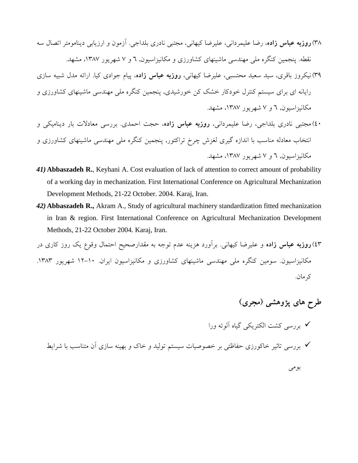- 38(**روزبه عباس زاده**، رضا علیمردانی، علیرضا کیهانی، مجتبی نادری بلداجی. [آزمون و ارزيابی دينامومتر اتصال سه](http://confbank.um.ac.ir/modules/conf_display/5ncame/doc/108.doc)  [نقطه.](http://confbank.um.ac.ir/modules/conf_display/5ncame/doc/108.doc) پنجمین کنگره ملی مهندسی ماشینهای کشاورزی و مکانیزاسیون, 6 و 7 شهريور ،1387 مشهد.
- 39(نیکروز باقری، سید سعید محتسبی، علیرضا کیهانی، **روزبه عباس زاده**، پیام جوادی کیا. [ارائه مدل شبیه سازی](http://confbank.um.ac.ir/modules/conf_display/5ncame/doc/481.doc)  [رايانه ای برای سیستم کنترل خودکار خشک کن خورشیدی,](http://confbank.um.ac.ir/modules/conf_display/5ncame/doc/481.doc) پنجمین کنگره ملی مهندسی ماشینهای کشاورزی و مکانیزاسیون, 6 و 7 شهريور ،1387 مشهد.
- 40(مجتبی نادری بلداجی، رضا علیمردانی، **روزبه عباس زاده**، حجت احمدی. [بررسی معادالت بار دينامیکی و](http://confbank.um.ac.ir/modules/conf_display/5ncame/doc/109.doc)  [انتخاب معادله مناسب با اندازه گیری لغزش چرخ تراکتور,](http://confbank.um.ac.ir/modules/conf_display/5ncame/doc/109.doc) پنجمین کنگره ملی مهندسی ماشینهای کشاورزی و مکانیزاسیون, 6 و 7 شهريور ،1387 مشهد.
- *41)* **Abbaszadeh R.**, Keyhani A. Cost evaluation of lack of attention to correct amount of probability of a working day in mechanization. First International Conference on Agricultural Mechanization Development Methods, 21-22 October. 2004. Karaj, Iran.
- *42)* **Abbaszadeh R.,** Akram A., Study of agricultural machinery standardization fitted mechanization in Iran & region. First International Conference on Agricultural Mechanization Development Methods, 21-22 October 2004. Karaj, Iran.
- 43(**روزبه عباس زاده** و علیرضا کیهانی. برآورد هزينه عدم توجه به مقدارصحیح احتمال وقوع يک روز کاری در مکانیزاسیون. سومین کنگره ملی مهندسی ماشینهای کشاورزی و مکانیزاسیون ايران. 12-10 شهريور .1383 کرمان.

**طرح های پژوهشي )مجری(** بررسی کشت الکتريکی گیاه آلوئه ورا بررسی تاثیر خاکورزی حفاظتی بر خصوصیات سیستم تولید و خاک و بهینه سازی آن متناسب با شرايط بومی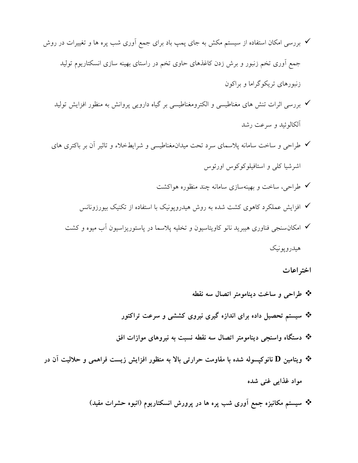- بررسی امکان استفاده از سیستم مکش به جای پمپ باد برای جمع آوری شب پره ها و تغییرات در روش جمع آوری تخم زنبور و برش زدن کاغذهای حاوی تخم در راستای بهینه سازی انسکتاريوم تولید زنبورهای تريکوگراما و براکون
	- بررسی اثرات تنش های مغناطیسی و الکترومغناطیسی بر گیاه دارويی پروانش به منظور افزايش تولید آلکالوئید و سرعت رشد
	- طراحی و ساخت سامانه پالسمای سرد تحت میدانمغناطیسی و شرايطخالء و تاثیر آن بر باکتری های اشرشیا کلی و استافیلوکوکوس اورئوس
		- طراحی، ساخت و بهینهسازی سامانه چند منظوره هواکشت
		- افزايش عملکرد کاهوی کشت شده به روش هیدروپونیک با استفاده از تکنیک بیورزونانس
		- امکانسنجی فناوری هیبريد نانو کاويتاسیون و تخلیه پالسما در پاستوريزاسیون آب میوه و کشت هیدروپونیک

**اختراعات**

 **طراحي و ساخت دینامومتر اتصال سه نقطه سيستم تحصيل داده برای اندازه گيری نيروی كششي و سرعت تراكتور دستگاه واسنجي دینامومتر اتصال سه نقطه نسبت به نيروهای موازات افق ویتامين D نانوكپسوله شده با مقاومت حرارتي باال به منظور افزایش زیست فراهمي و حالليت آن در مواد غذایي غني شده سيستم مكانيزه جمع آوری شب پره ها در پرورش انسكتاریوم )انبوه حشرات مفيد(**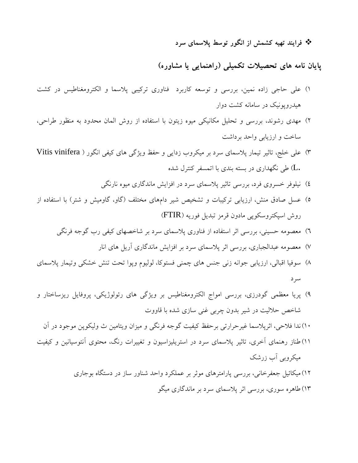**فرایند تهيه كشمش از انگور توسط پالسمای سرد**

**پایان نامه های تحصيالت تكميلي )راهنمایي یا مشاوره(**

- 1( علی حاجی زاده نمین، بررسی و توسعه کاربرد فناوری ترکیبی پالسما و الکترومغناطیس در کشت هیدروپونیک در سامانه کشت دوار
- 2( مهدی رشوند، بررسی و تحلیل مکانیکی میوه زيتون با استفاده از روش المان محدود به منظور طراحی، ساخت و ارزيابی واحد برداشت
- 3( علی خلج، تاثیر تیمار پالسمای سرد بر میکروب زدايی و حفظ ويژگی های کیفی انگور ) vinifera Vitis .L )طی نگهداری در بسته بندی با اتمسفر کنترل شده
	- 4( نیلوفر خسروی فرد، بررسی تاثیر پالسمای سرد در افزايش ماندگاری میوه نارنگی
- 5( عسل صادق منش، ارزيابی ترکیبات و تشخیص شیر دامهای مختلف )گاو، گاومیش و شتر( با استفاده از روش اسپکتروسکوپی مادون قرمز تبديل فوريه )FTIR)
	- 6( معصومه حسینی، بررسی اثر استفاده از فناوری پالسمای سرد بر شاخصهای کیفی رب گوجه فرنگی
		- 7( معصومه عبدالجباری، بررسی اثر پالسمای سرد بر افزايش ماندگاری آريل های انار
- 8( سوفیا اقبالی، ارزيابی جوانه زنی جنس های چمنی فستوکا، لولیوم وپوا تحت تنش خشکی وتیمار پالسمای سرد
- 9( پريا معظمی گودرزی، بررسی امواج الکترومغناطیس بر ويژگی های رئولوژيکی، پروفايل ريزساختار و شاخص حاللیت در شیر بدون چربی غنی سازی شده با قاووت
	- 10(ندا فالحی، اثرپالسما غیرحرارتی برحفظ کیفیت گوجه فرنگی و میزان ويتامین ث ولیکوپن موجود در آن
- 11( طناز رهنمای آخری، تاثیر پالسمای سرد در استريلیزاسیون و تغییرات رنگ، محتوی آنتوسیانین و کیفیت میکروبی آب زرشک
	- 12(میکائیل جعفرخانی، بررسی پارامترهای موثر بر عملکرد واحد شناور ساز در دستگاه بوجاری 13( طاهره سوری، بررسی اثر پالسمای سرد بر ماندگاری میگو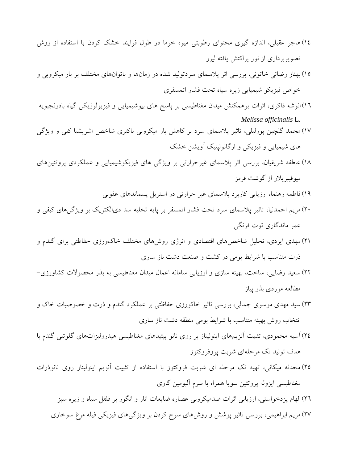- 14(هاجر عقیلی، اندازه گیری محتوای رطوبتی میوه خرما در طول فرايند خشک کردن با استفاده از روش تصويربرداری از نور پراکنش يافته لیزر
- 15(بهناز رضائی خاتونی، بررسی اثر پالسمای سردتولید شده در زمانها و باتوانهای مختلف بر بار میکروبی و خواص فیزيکو شیمیايی زيره سیاه تحت فشار اتمسفری
- 16(انوشه ذاکری، اثرات برهمکنش میدان مغناطیسی بر پاسخ های بیوشیمیايی و فیزيولوژيکی گیاه بادرنجبويه *Melissa officinalis* L*.*
- 17(محمد گلچین پورلیلی، تاثیر پالسمای سرد بر کاهش بار میکروبی باکتری شاخص اشريشیا کلی و ويژگی های شیمیايی و فیزيکی و ارگانولپتیک آويشن خشک
- 18(عاطفه شريفیان، بررسی اثر پالسمای غیرحرارتی بر ويژگی های فیزيکوشیمیايی و عملکردی پروتئینهای میوفیبريالر از گوشت قرمز
	- 19(فاطمه رهنما، ارزيابی کاربرد پالسمای غیر حرارتی در استريل پسماندهای عفونی
- 20(مريم احمدنیا، تاثیر پالسمای سرد تحت فشار اتمسفر بر پايه تخلیه سد دیالکتريک بر ويژگیهای کیفی و عمر ماندگاری توت فرنگی
- 21(مهدی ايزدی، تحلیل شاخصهای اقتصادی و انرژی روشهای مختلف خاکورزی حفاظتی برای گندم و ذرت متناسب با شرايط بومی در کشت و صنعت دشت ناز ساری
- 22( سعید رضايی، ساخت، بهینه سازی و ارزيابی سامانه اعمال میدان مغناطیسی به بذر محصوالت کشاورزی- مطالعه موردی بذر پیاز
- 23( سید مهدی موسوی جمالی، بررسی تاثیر خاکورزی حفاظتی بر عملکرد گندم و ذرت و خصوصیات خاک و انتخاب روش بهینه متناسب با شرايط بومی منطقه دشت ناز ساری
- 24(آسیه محمودی، تثبیت آنزيمهای اينولیناز بر روی نانو پپتیدهای مغناطیسی هیدرولیزاتهای گلوتنی گندم با هدف تولید تک مرحلهای شربت پروفروکتوز
- 25( محدثه میکانی، تهیه تک مرحله ای شربت فروکتوز با استفاده از تثبیت آنزيم اينولیناز روی نانوذرات مغناطیسی ايزوله پروتئین سويا همراه با سرم آلبومین گاوی

26(الهام يزدخواستی، ارزيابی اثرات ضدمیکروبی عصاره ضايعات انار و انگور بر فلفل سیاه و زيره سبز 27(مريم ابراهیمی، بررسی تاثیر پوشش و روشهای سرخ کردن بر ويژگیهای فیزيکی فیله مرغ سوخاری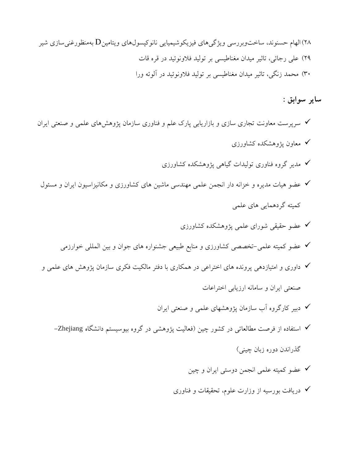28(الهام حسنوند، ساختوبررسی ويژگیهای فیزيکوشیمیايی نانوکپسولهای ويتامینD بهمنظورغنیسازی شیر 29( علی رجائی، تاثیر میدان مغناطیسی بر تولید فالونوئید در قره قات 30( محمد زنگی، تاثیر میدان مغناطیسی بر تولید فالونوئید در آلوئه ورا

**سایر سوابق :**

- سرپرست معاونت تجاری سازی و بازاريابی پارک علم و فناوری سازمان پژوهشهای علمی و صنعتی ايران معاون پژوهشکده کشاورزی
	- مدير گروه فناوری تولیدات گیاهی پژوهشکده کشاورزی
- عضو هیات مديره و خزانه دار انجمن علمی مهندسی ماشین های کشاورزی و مکانیزاسیون ايران و مسئول کمیته گردهمايی های علمی
	- عضو حقیقی شورای علمی پژوهشکده کشاورزی
	- عضو کمیته علمی-تخصصی کشاورزی و منابع طبیعی جشنواره های جوان و بین المللی خوارزمی
- داوری و امتیازدهی پرونده های اختراعی در همکاری با دفتر مالکیت فکری سازمان پژوهش های علمی و صنعتی ايران و سامانه ارزيابی اختراعات
	- دبیر کارگروه آب سازمان پژوهشهای علمی و صنعتی ايران
	- استفاده از فرصت مطالعاتی در کشور چین )فعالیت پژوهشی در گروه بیوسیستم دانشگاه Zhejiang- گذراندن دوره زبان چینی(
		- عضو کمیته علمی انجمن دوستی ايران و چین
		- دريافت بورسیه از وزارت علوم، تحقیقات و فناوری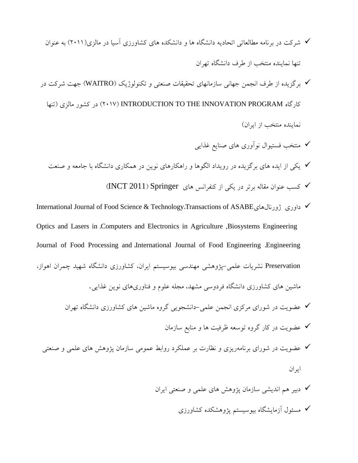- شرکت در برنامه مطالعاتی اتحاديه دانشگاه ها و دانشکده های کشاورزی آسیا در مالزی)2011( به عنوان تنها نماينده منتخب از طرف دانشگاه تهران
- برگزيده از طرف انجمن جهانی سازمانهای تحقیقات صنعتی و تکنولوژيک )WAITRO )جهت شرکت در کارگاه PROGRAM INNOVATION THE TO INTRODUCTION( 2017 )در کشور مالزی )تنها نماينده منتخب از ايران(
	- منتخب فستیوال نوآوری های صنايع غذايی يکی از ايده های برگزيده در رويداد الگوها و راهکارهای نوين در همکاری دانشگاه با جامعه و صنعت کسب عنوان مقاله برتر در يکی از کنفرانس های Springer( 2011 INCT)
- International Journal of Food Science & Technology،Transactions of ASABEژورنالهای داوری Optics and Lasers in ،Computers and Electronics in Agriculture ,Biosystems Engineering Journal of Food Processing and ،International Journal of Food Engineering ،Engineering Preservation نشريات علمی-پژوهشی مهندسی بیوسیستم ايران، کشاورزی دانشگاه شهید چمران اهواز، ماشین های کشاورزی دانشگاه فردوسی مشهد، مجله علوم و فناوریهای نوين غذايی. عضويت در شورای مرکزی انجمن علمی-دانشجويی گروه ماشین های کشاورزی دانشگاه تهران عضويت در کار گروه توسعه ظرفیت ها و منابع سازمان
	- عضويت در شورای برنامهريزی و نظارت بر عملکرد روابط عمومی سازمان پژوهش های علمی و صنعتی ايران
		- دبیر هم انديشی سازمان پژوهش های علمی و صنعتی ايران مسئول آزمايشگاه بیوسیستم پژوهشکده کشاورزی